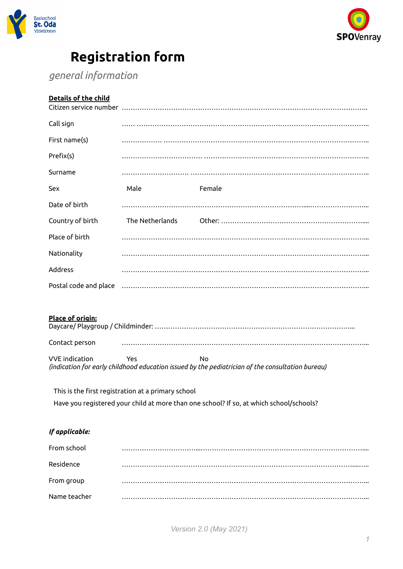



# **Registration form**

*general information*

## **Details of the child**

| Call sign             |                                                    |                                                                                                        |
|-----------------------|----------------------------------------------------|--------------------------------------------------------------------------------------------------------|
| First name(s)         |                                                    |                                                                                                        |
| Prefix(s)             |                                                    |                                                                                                        |
| Surname               |                                                    |                                                                                                        |
| Sex                   | Male                                               | Female                                                                                                 |
| Date of birth         |                                                    |                                                                                                        |
| Country of birth      | The Netherlands                                    |                                                                                                        |
| Place of birth        |                                                    |                                                                                                        |
| Nationality           |                                                    |                                                                                                        |
| Address               |                                                    |                                                                                                        |
| Postal code and place |                                                    |                                                                                                        |
| Place of origin:      |                                                    |                                                                                                        |
| Contact person        |                                                    |                                                                                                        |
| <b>VVE</b> indication | Yes                                                | No<br>(indication for early childhood education issued by the pediatrician of the consultation bureau) |
|                       | This is the first registration at a primary school |                                                                                                        |
|                       |                                                    | Have you registered your child at more than one school? If so, at which school/schools?                |
|                       |                                                    |                                                                                                        |

# *If applicable:*

| From school  |  |
|--------------|--|
| Residence    |  |
| From group   |  |
| Name teacher |  |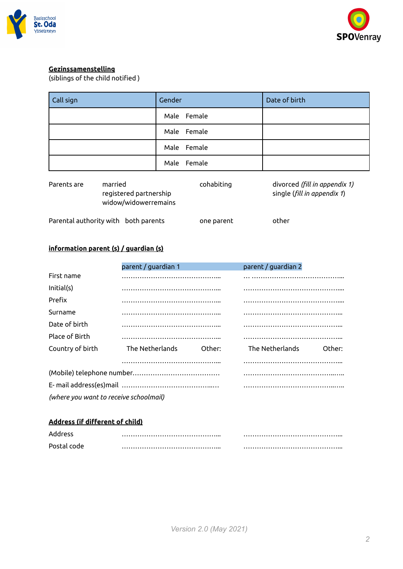



#### **Gezinssamenstelling**

(siblings of the child notified )

| Call sign | Gender      | Date of birth |
|-----------|-------------|---------------|
|           | Male Female |               |
|           | Male Female |               |
|           | Male Female |               |
|           | Male Female |               |

| Parents are | married<br>registered partnership<br>widow/widowerremains | cohabiting | divorced (fill in appendix 1)<br>single (fill in appendix 1) |
|-------------|-----------------------------------------------------------|------------|--------------------------------------------------------------|
|             | Parental authority with both parents                      | one parent | other                                                        |

#### **information parent (s) / guardian (s)**

|                                        | parent / guardian 1       | parent / guardian 2       |
|----------------------------------------|---------------------------|---------------------------|
| First name                             |                           |                           |
| Initial(s)                             |                           |                           |
| Prefix                                 |                           |                           |
| Surname                                |                           |                           |
| Date of birth                          |                           |                           |
| Place of Birth                         |                           |                           |
| Country of birth                       | The Netherlands<br>Other: | The Netherlands<br>Other: |
|                                        |                           |                           |
|                                        |                           |                           |
|                                        |                           |                           |
| (where you want to receive schoolmail) |                           |                           |

### **Address (if different of child)**

| Address     |  |
|-------------|--|
| Postal code |  |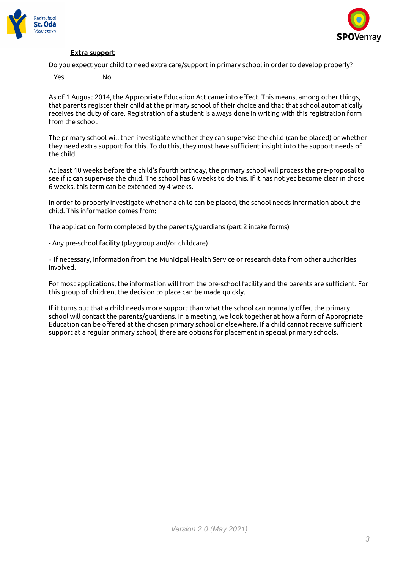



#### **Extra support**

Do you expect your child to need extra care/support in primary school in order to develop properly?

Yes No

As of 1 August 2014, the Appropriate Education Act came into effect. This means, among other things, that parents register their child at the primary school of their choice and that that school automatically receives the duty of care. Registration of a student is always done in writing with this registration form from the school.

The primary school will then investigate whether they can supervise the child (can be placed) or whether they need extra support for this. To do this, they must have sufficient insight into the support needs of the child.

At least 10 weeks before the child's fourth birthday, the primary school will process the pre-proposal to see if it can supervise the child. The school has 6 weeks to do this. If it has not yet become clear in those 6 weeks, this term can be extended by 4 weeks.

In order to properly investigate whether a child can be placed, the school needs information about the child. This information comes from:

The application form completed by the parents/guardians (part 2 intake forms)

- Any pre-school facility (playgroup and/or childcare)

‐ If necessary, information from the Municipal Health Service or research data from other authorities involved.

For most applications, the information will from the pre-school facility and the parents are sufficient. For this group of children, the decision to place can be made quickly.

If it turns out that a child needs more support than what the school can normally offer, the primary school will contact the parents/guardians. In a meeting, we look together at how a form of Appropriate Education can be offered at the chosen primary school or elsewhere. If a child cannot receive sufficient support at a regular primary school, there are options for placement in special primary schools.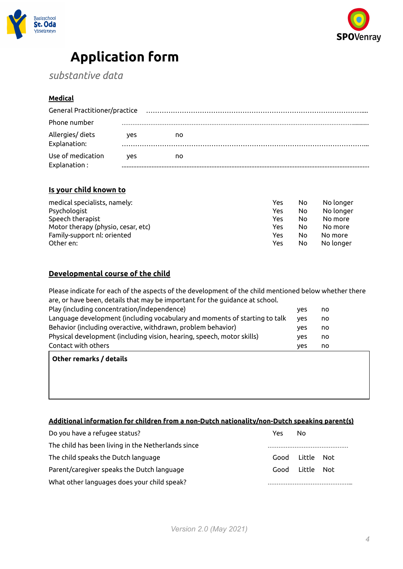



# **Application form**

*substantive data*

#### **Medical**

| General Practitioner/practice |    |  |  |
|-------------------------------|----|--|--|
|                               |    |  |  |
| ves                           | no |  |  |
| ves                           | no |  |  |
|                               |    |  |  |

#### **Is your child known to**

| medical specialists, namely:       | Yes | No | No longer |
|------------------------------------|-----|----|-----------|
| Psychologist                       | Yes | No | No longer |
| Speech therapist                   | Yes | No | No more   |
| Motor therapy (physio, cesar, etc) | Yes | No | No more   |
| Family-support nl: oriented        | Yes | No | No more   |
| Other en:                          | Yes | No | No longer |

#### **Developmental course of the child**

Please indicate for each of the aspects of the development of the child mentioned below whether there are, or have been, details that may be important for the guidance at school.

| Play (including concentration/independence)                                | ves        | no |
|----------------------------------------------------------------------------|------------|----|
| Language development (including vocabulary and moments of starting to talk | <b>ves</b> | no |
| Behavior (including overactive, withdrawn, problem behavior)               | ves        | no |
| Physical development (including vision, hearing, speech, motor skills)     | ves        | no |
| Contact with others                                                        | ves        | no |
|                                                                            |            |    |

**Other remarks / details**

#### **Additional information for children from a non-Dutch nationality/non-Dutch speaking parent(s)**

| Do you have a refugee status?                      | Yes | No              |  |
|----------------------------------------------------|-----|-----------------|--|
| The child has been living in the Netherlands since |     |                 |  |
| The child speaks the Dutch language                |     | Good Little Not |  |
| Parent/caregiver speaks the Dutch language         |     | Good Little Not |  |
| What other languages does your child speak?        |     |                 |  |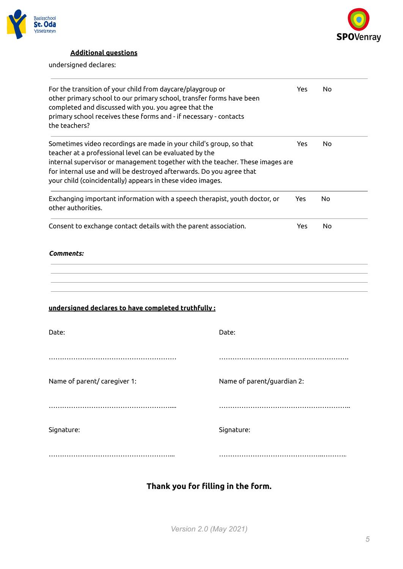



## **Additional questions**

undersigned declares:

| For the transition of your child from daycare/playgroup or<br>other primary school to our primary school, transfer forms have been<br>completed and discussed with you. you agree that the<br>primary school receives these forms and - if necessary - contacts<br>the teachers?                                                                     |            |            | No |
|------------------------------------------------------------------------------------------------------------------------------------------------------------------------------------------------------------------------------------------------------------------------------------------------------------------------------------------------------|------------|------------|----|
| Sometimes video recordings are made in your child's group, so that<br>teacher at a professional level can be evaluated by the<br>internal supervisor or management together with the teacher. These images are<br>for internal use and will be destroyed afterwards. Do you agree that<br>your child (coincidentally) appears in these video images. |            | Yes        | No |
| Exchanging important information with a speech therapist, youth doctor, or<br>other authorities.                                                                                                                                                                                                                                                     |            | <b>Yes</b> | No |
| Consent to exchange contact details with the parent association.                                                                                                                                                                                                                                                                                     |            |            | No |
| <b>Comments:</b>                                                                                                                                                                                                                                                                                                                                     |            |            |    |
| undersigned declares to have completed truthfully:                                                                                                                                                                                                                                                                                                   |            |            |    |
| Date:                                                                                                                                                                                                                                                                                                                                                | Date:      |            |    |
|                                                                                                                                                                                                                                                                                                                                                      |            |            |    |
| Name of parent/ caregiver 1:<br>Name of parent/guardian 2:                                                                                                                                                                                                                                                                                           |            |            |    |
|                                                                                                                                                                                                                                                                                                                                                      |            |            |    |
| Signature:                                                                                                                                                                                                                                                                                                                                           | Signature: |            |    |
|                                                                                                                                                                                                                                                                                                                                                      |            |            |    |

# **Thank you for filling in the form.**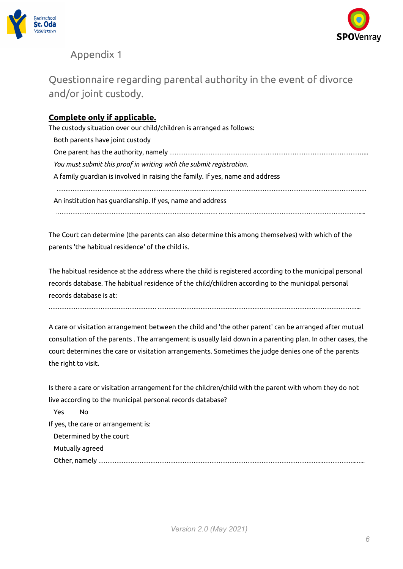



# Appendix 1

# Questionnaire regarding parental authority in the event of divorce and/or joint custody.

## **Complete only if applicable.**

The custody situation over our child/children is arranged as follows:

Both parents have joint custody One parent has the authority, namely …………………………………………….……………………………………….... *You must submit this proof in writing with the submit registration.* A family guardian is involved in raising the family. If yes, name and address ………………………………………………………………………………………………………………………………………………………..

……………………………………………………………………………… …………………………………………………………………….....

An institution has guardianship. If yes, name and address

The Court can determine (the parents can also determine this among themselves) with which of the parents 'the habitual residence' of the child is.

The habitual residence at the address where the child is registered according to the municipal personal records database. The habitual residence of the child/children according to the municipal personal records database is at:

…………………………………………………… …………………………………………………………………………………………………...

A care or visitation arrangement between the child and 'the other parent' can be arranged after mutual consultation of the parents . The arrangement is usually laid down in a parenting plan. In other cases, the court determines the care or visitation arrangements. Sometimes the judge denies one of the parents the right to visit.

| Is there a care or visitation arrangement for the children/child with the parent with whom they do not |  |
|--------------------------------------------------------------------------------------------------------|--|
| live according to the municipal personal records database?                                             |  |
| Yes<br>No.                                                                                             |  |
| If yes, the care or arrangement is:                                                                    |  |
| Determined by the court                                                                                |  |
| Mutually agreed                                                                                        |  |
|                                                                                                        |  |
|                                                                                                        |  |